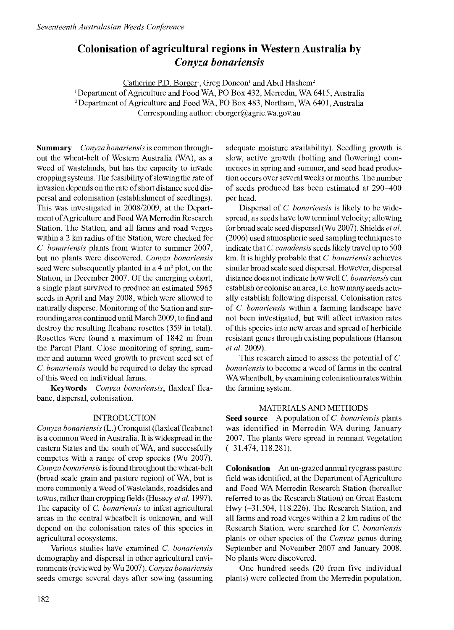# Colonisation of agricultural regions in Western Australia by Conyza bonariensis

Catherine P.D. Borger<sup>1</sup>, Greg Doncon<sup>1</sup> and Abul Hashem<sup>2</sup>

' Department of Agriculture and Food WA, PO Box 432, Merredin, WA 6415, Australia

2Department of Agriculture and Food WA, PO Box 483, Northam, WA 6401, Australia

Corresponding author: cborger@agric.wa.gov.au

Summary Conyza bonariensis is common throughout the wheat-belt of Western Australia (WA), as a weed of wastelands, but has the capacity to invade cropping systems. The feasibility of slowing the rate of invasion depends on the rate of short distance seed dispersal and colonisation (establishment of seedlings). This was investigated in 2008/2009, at the Department ofAgriculture and Food WA Merredin Research Station. The Station, and all farms and road verges within a 2 km radius of the Station, were checked for C. bonariensis plants from winter to summer 2007, but no plants were discovered. Conyza bonariensis seed were subsequently planted in a  $4 \text{ m}^2$  plot, on the Station, in December 2007. Of the emerging cohort, a single plant survived to produce an estimated 5965 seeds in April and May 2008, which were allowed to naturally disperse. Monitoring of the Station and surrounding area continued until March 2009, to find and destroy the resulting fleabane rosettes (359 in total). Rosettes were found a maximum of 1842 m from the Parent Plant. Close monitoring of spring, summer and autumn weed growth to prevent seed set of C. bonariensis would be required to delay the spread of this weed on individual farms.

Keywords Conyza bonariensis, flaxleaf fleabane, dispersal, colonisation.

## INTRODUCTION

Conyza bonariensis (L.) Cronquist (flaxleaf fleabane) is a common weed in Australia. It is widespread in the eastern States and the south of WA, and successfully competes with a range of crop species (Wu 2007). Conyza bonariensis is found throughout the wheat-belt (broad scale grain and pasture region) of WA, but is more commonly a weed of wastelands, roadsides and towns, rather than cropping fields (Hussey et al. 1997). The capacity of C. bonariensis to infest agricultural areas in the central wheatbelt is unknown, and will depend on the colonisation rates of this species in agricultural ecosystems.

Various studies have examined C. bonariensis demography and dispersal in other agricultural environments (reviewed by Wu 2007). Conyza bonariensis seeds emerge several days after sowing (assuming

adequate moisture availability). Seedling growth is slow, active growth (bolting and flowering) commences in spring and summer, and seed head production occurs over several weeks or months. The number of seeds produced has been estimated at 290-400 per head.

Dispersal of *C. bonariensis* is likely to be widespread, as seeds have low terminal velocity; allowing for broad scale seed dispersal (Wu 2007). Shields et al. (2006) used atmospheric seed sampling techniques to indicate that C. canadensis seeds likely travel up to 500 km. It is highly probable that C. bonariensis achieves similar broad scale seed dispersal. However, dispersal distance does not indicate how well C. bonariensis can establish or colonise an area, i.e. how many seeds actually establish following dispersal. Colonisation rates of C. bonariensis within a farming landscape have not been investigated, but will affect invasion rates of this species into new areas and spread of herbicide resistant genes through existing populations (Hanson et al. 2009).

This research aimed to assess the potential of C. bonariensis to become a weed of farms in the central WA wheatbelt, by examining colonisation rates within the farming system.

# MATERIALS AND METHODS

Seed source A population of C. bonariensis plants was identified in Merredin WA during January 2007. The plants were spread in remnant vegetation (-31.474, 118.281).

Colonisation An un-grazed annual ryegrass pasture field was identified, at the Department of Agriculture and Food WA Merredin Research Station (hereafter referred to as the Research Station) on Great Eastern Hwy (-31.504, 118.226). The Research Station, and all farms and road verges within a 2 km radius of the Research Station, were searched for C. bonariensis plants or other species of the Conyza genus during September and November 2007 and January 2008. No plants were discovered.

One hundred seeds (20 from five individual plants) were collected from the Merredin population,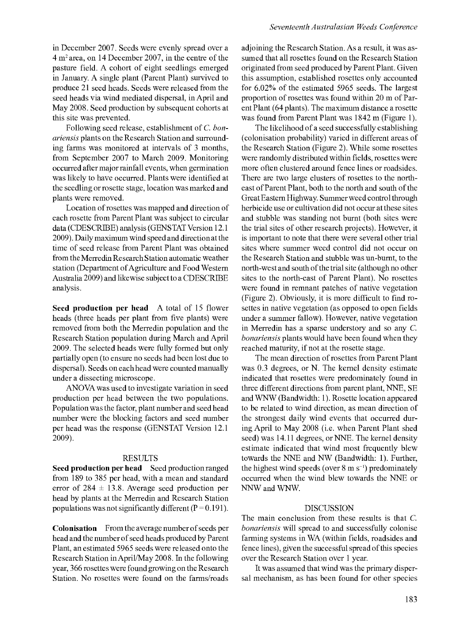in December 2007. Seeds were evenly spread over a 4 m2area, on 14 December 2007, in the centre of the pasture field. A cohort of eight seedlings emerged in January. A single plant (Parent Plant) survived to produce 21 seed heads. Seeds were released from the seed heads via wind mediated dispersal, in April and May 2008. Seed production by subsequent cohorts at this site was prevented.

Following seed release, establishment of C. bonariensis plants on the Research Station and surrounding farms was monitored at intervals of 3 months, from September 2007 to March 2009. Monitoring occurred after major rainfall events, when germination was likely to have occurred. Plants were identified at the seedling or rosette stage, location was marked and plants were removed.

Location of rosettes was mapped and direction of each rosette from Parent Plant was subject to circular data (CDESCRIBE) analysis (GENSTAT Version 12.1 2009). Daily maximum wind speed and direction at the time of seed release from Parent Plant was obtained from the Merredin Research Station automatic weather station (Department of Agriculture and Food Western Australia 2009) and likewise subject to a CDESCRIBE analysis.

Seed production per head A total of 15 flower heads (three heads per plant from five plants) were removed from both the Merredin population and the Research Station population during March and April 2009. The selected heads were fully formed but only partially open (to ensure no seeds had been lost due to dispersal). Seeds on each head were counted manually under a dissecting microscope.

ANOVA was used to investigate variation in seed production per head between the two populations. Population was the factor, plant number and seed head number were the blocking factors and seed number per head was the response (GENSTAT Version 12.1 2009).

#### RESULTS

Seed production per head Seed production ranged from 189 to 385 per head, with a mean and standard error of  $284 \pm 13.8$ . Average seed production per head by plants at the Merredin and Research Station populations was not significantly different  $(P = 0.191)$ .

Colonisation From the average number of seeds per head and the number of seed heads produced by Parent Plant, an estimated 5965 seeds were released onto the Research Station in April/May 2008. In the following year, 366 rosettes were found growing on the Research Station. No rosettes were found on the farms/roads

adjoining the Research Station. As a result, it was assumed that all rosettes found on the Research Station originated from seed produced by Parent Plant. Given this assumption, established rosettes only accounted for 6.02% of the estimated 5965 seeds. The largest proportion of rosettes was found within 20 m of Parent Plant (64 plants). The maximum distance a rosette was found from Parent Plant was 1842 m (Figure 1).

The likelihood of a seed successfully establishing (colonisation probability) varied in different areas of the Research Station (Figure 2). While some rosettes were randomly distributed within fields, rosettes were more often clustered around fence lines or roadsides. There are two large clusters of rosettes to the northeast of Parent Plant, both to the north and south of the Great Eastern Highway. Summer weed control through herbicide use or cultivation did not occur at these sites and stubble was standing not burnt (both sites were the trial sites of other research projects). However, it is important to note that there were several other trial sites where summer weed control did not occur on the Research Station and stubble was un-burnt, to the north-west and south of the trial site (although no other sites to the north-east of Parent Plant). No rosettes were found in remnant patches of native vegetation (Figure 2). Obviously, it is more difficult to find rosettes in native vegetation (as opposed to open fields under a summer fallow). However, native vegetation in Merredin has a sparse understory and so any C. bonariensis plants would have been found when they reached maturity, if not at the rosette stage.

The mean direction of rosettes from Parent Plant was 0.3 degrees, or N. The kernel density estimate indicated that rosettes were predominately found in three different directions from parent plant, NNE, SE and WNW (Bandwidth: 1). Rosette location appeared to be related to wind direction, as mean direction of the strongest daily wind events that occurred during April to May 2008 (i.e. when Parent Plant shed seed) was 14.11 degrees, or NNE. The kernel density estimate indicated that wind most frequently blew towards the NNE and NW (Bandwidth: 1). Further, the highest wind speeds (over  $8 \text{ m s}^{-1}$ ) predominately occurred when the wind blew towards the NNE or NNW and WNW.

## DISCUSSION

The main conclusion from these results is that C. bonariensis will spread to and successfully colonise farming systems in WA (within fields, roadsides and fence lines), given the successful spread of this species over the Research Station over 1 year.

It was assumed that wind was the primary dispersal mechanism, as has been found for other species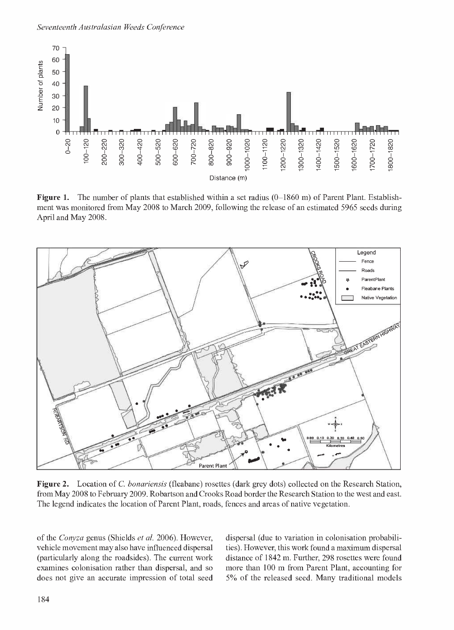

**Figure 1.** The number of plants that established within a set radius  $(0-1860 \text{ m})$  of Parent Plant. Establishment was monitored from May 2008 to March 2009, following the release of an estimated 5965 seeds during April and May 2008.



Figure 2. Location of C. bonariensis (fleabane) rosettes (dark grey dots) collected on the Research Station, from May 2008 to February 2009. Robartson and Crooks Road border the Research Station to the west and east. The legend indicates the location of Parent Plant, roads, fences and areas of native vegetation.

of the Conyza genus (Shields et al. 2006). However, vehicle movement may also have influenced dispersal (particularly along the roadsides). The current work examines colonisation rather than dispersal, and so does not give an accurate impression of total seed dispersal (due to variation in colonisation probabilities). However, this work found a maximum dispersal distance of 1842 m. Further, 298 rosettes were found more than 100 m from Parent Plant, accounting for 5% of the released seed. Many traditional models